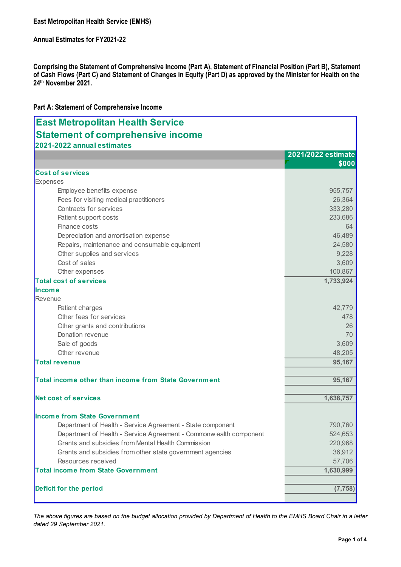| <b>East Metropolitan Health Service (EMHS)</b>                                                                                                                                                                                                            |                    |  |  |  |
|-----------------------------------------------------------------------------------------------------------------------------------------------------------------------------------------------------------------------------------------------------------|--------------------|--|--|--|
| <b>Annual Estimates for FY2021-22</b>                                                                                                                                                                                                                     |                    |  |  |  |
| Comprising the Statement of Comprehensive Income (Part A), Statement of Financial Position (Part B), Statement<br>of Cash Flows (Part C) and Statement of Changes in Equity (Part D) as approved by the Minister for Health on the<br>24th November 2021. |                    |  |  |  |
| Part A: Statement of Comprehensive Income                                                                                                                                                                                                                 |                    |  |  |  |
| <b>East Metropolitan Health Service</b><br><b>Statement of comprehensive income</b>                                                                                                                                                                       |                    |  |  |  |
| 2021-2022 annual estimates                                                                                                                                                                                                                                |                    |  |  |  |
|                                                                                                                                                                                                                                                           | 2021/2022 estimate |  |  |  |
|                                                                                                                                                                                                                                                           | \$000              |  |  |  |
| <b>Cost of services</b>                                                                                                                                                                                                                                   |                    |  |  |  |
| Expenses                                                                                                                                                                                                                                                  |                    |  |  |  |
| Employee benefits expense                                                                                                                                                                                                                                 | 955,757            |  |  |  |
| Fees for visiting medical practitioners                                                                                                                                                                                                                   | 26,364             |  |  |  |
| Contracts for services                                                                                                                                                                                                                                    | 333,280            |  |  |  |
| Patient support costs                                                                                                                                                                                                                                     | 233,686            |  |  |  |
| Finance costs                                                                                                                                                                                                                                             | 64                 |  |  |  |
| Depreciation and amortisation expense                                                                                                                                                                                                                     | 46,489             |  |  |  |
| Repairs, maintenance and consumable equipment                                                                                                                                                                                                             | 24,580             |  |  |  |
| Other supplies and services                                                                                                                                                                                                                               | 9,228              |  |  |  |
| Cost of sales                                                                                                                                                                                                                                             | 3,609              |  |  |  |
| Other expenses                                                                                                                                                                                                                                            | 100,867            |  |  |  |
| <b>Total cost of services</b>                                                                                                                                                                                                                             | 1,733,924          |  |  |  |
| <b>Income</b>                                                                                                                                                                                                                                             |                    |  |  |  |
| Revenue                                                                                                                                                                                                                                                   |                    |  |  |  |
| Patient charges                                                                                                                                                                                                                                           | 42,779             |  |  |  |
| Other fees for services                                                                                                                                                                                                                                   | 478                |  |  |  |
| Other grants and contributions<br>Donation revenue                                                                                                                                                                                                        | 26<br>70           |  |  |  |
| Sale of goods                                                                                                                                                                                                                                             | 3,609              |  |  |  |
| Other revenue                                                                                                                                                                                                                                             | 48,205             |  |  |  |
| Total revenue                                                                                                                                                                                                                                             | 95,167             |  |  |  |
|                                                                                                                                                                                                                                                           |                    |  |  |  |
| Total income other than income from State Government                                                                                                                                                                                                      | 95,167             |  |  |  |
| Net cost of services                                                                                                                                                                                                                                      | 1,638,757          |  |  |  |
|                                                                                                                                                                                                                                                           |                    |  |  |  |
| <b>Income from State Government</b>                                                                                                                                                                                                                       |                    |  |  |  |
| Department of Health - Service Agreement - State component                                                                                                                                                                                                | 790,760            |  |  |  |
| Department of Health - Service Agreement - Commonw ealth component                                                                                                                                                                                        | 524,653            |  |  |  |
| Grants and subsidies from Mental Health Commission                                                                                                                                                                                                        | 220,968            |  |  |  |
| Grants and subsidies from other state government agencies                                                                                                                                                                                                 | 36,912             |  |  |  |
| Resources received                                                                                                                                                                                                                                        | 57,706             |  |  |  |
| <b>Total income from State Government</b>                                                                                                                                                                                                                 | 1,630,999          |  |  |  |
| Deficit for the period                                                                                                                                                                                                                                    | (7, 758)           |  |  |  |
|                                                                                                                                                                                                                                                           |                    |  |  |  |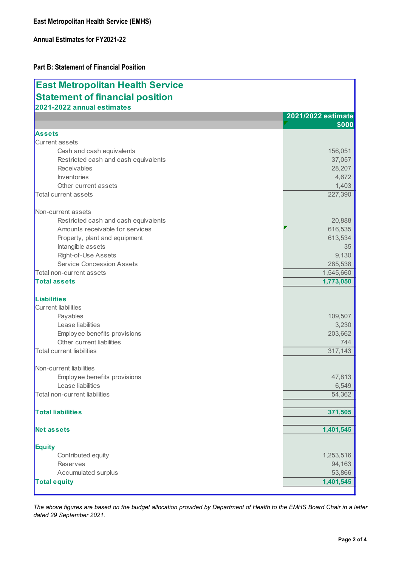| <b>East Metropolitan Health Service (EMHS)</b>                                          |                             |  |  |
|-----------------------------------------------------------------------------------------|-----------------------------|--|--|
| <b>Annual Estimates for FY2021-22</b><br><b>Part B: Statement of Financial Position</b> |                             |  |  |
|                                                                                         |                             |  |  |
| <b>Statement of financial position</b><br>2021-2022 annual estimates                    |                             |  |  |
|                                                                                         | 2021/2022 estimate<br>\$000 |  |  |
| <b>Assets</b>                                                                           |                             |  |  |
| Current assets                                                                          |                             |  |  |
| Cash and cash equivalents                                                               | 156,051                     |  |  |
| Restricted cash and cash equivalents                                                    | 37,057                      |  |  |
| Receivables<br>Inventories                                                              | 28,207<br>4,672             |  |  |
| Other current assets                                                                    | 1,403                       |  |  |
| Total current assets                                                                    | 227,390                     |  |  |
|                                                                                         |                             |  |  |
| Non-current assets<br>Restricted cash and cash equivalents                              | 20,888                      |  |  |
| Amounts receivable for services                                                         | 616,535                     |  |  |
| Property, plant and equipment                                                           | 613,534                     |  |  |
| Intangible assets                                                                       | 35                          |  |  |
| Right-of-Use Assets                                                                     | 9,130                       |  |  |
| <b>Service Concession Assets</b>                                                        | 285,538                     |  |  |
| Total non-current assets                                                                | 1,545,660                   |  |  |
| Total assets                                                                            | 1,773,050                   |  |  |
| Liabilities                                                                             |                             |  |  |
| Current liabilities                                                                     |                             |  |  |
| Payables                                                                                | 109,507                     |  |  |
| Lease liabilities                                                                       | 3,230                       |  |  |
| Employee benefits provisions                                                            | 203,662                     |  |  |
| Other current liabilities<br>Total current liabilities                                  | 744<br>317,143              |  |  |
|                                                                                         |                             |  |  |
| Non-current liabilities                                                                 |                             |  |  |
| Employee benefits provisions                                                            | 47,813                      |  |  |
| Lease liabilities<br>Total non-current liabilities                                      | 6,549<br>54,362             |  |  |
|                                                                                         |                             |  |  |
| <b>Total liabilities</b>                                                                | 371,505                     |  |  |
| Net assets                                                                              | 1,401,545                   |  |  |
| Equity                                                                                  |                             |  |  |
| Contributed equity                                                                      | 1,253,516                   |  |  |
| Reserves                                                                                | 94,163                      |  |  |
| Accumulated surplus                                                                     | 53,866                      |  |  |
| <b>Total equity</b>                                                                     | 1,401,545                   |  |  |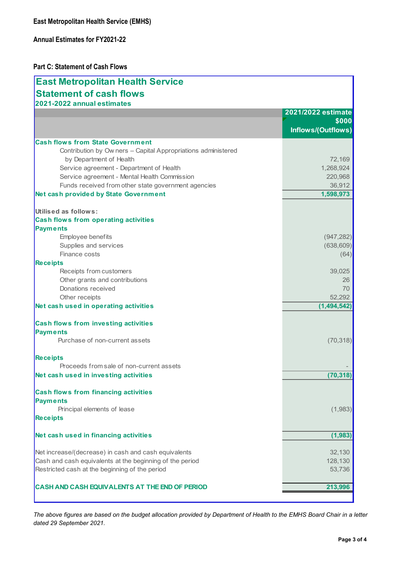## Part C: Statement of Cash Flows

| <b>Annual Estimates for FY2021-22</b><br><b>Part C: Statement of Cash Flows</b><br><b>East Metropolitan Health Service</b><br><b>Statement of cash flows</b> |                             |
|--------------------------------------------------------------------------------------------------------------------------------------------------------------|-----------------------------|
|                                                                                                                                                              |                             |
|                                                                                                                                                              |                             |
|                                                                                                                                                              |                             |
| 2021-2022 annual estimates                                                                                                                                   |                             |
|                                                                                                                                                              | 2021/2022 estimate          |
|                                                                                                                                                              | \$000<br>Inflows/(Outflows) |
| <b>Cash flows from State Government</b>                                                                                                                      |                             |
| Contribution by Owners - Capital Appropriations administered<br>by Department of Health                                                                      | 72,169                      |
| Service agreement - Department of Health                                                                                                                     | 1,268,924                   |
| Service agreement - Mental Health Commission                                                                                                                 | 220,968                     |
| Funds received from other state government agencies                                                                                                          | 36,912                      |
| Net cash provided by State Government                                                                                                                        | 1,598,973                   |
| Utilised as follows:                                                                                                                                         |                             |
| <b>Cash flows from operating activities</b>                                                                                                                  |                             |
| <b>Payments</b>                                                                                                                                              |                             |
| Employee benefits                                                                                                                                            | (947, 282)                  |
| Supplies and services                                                                                                                                        | (638, 609)                  |
| Finance costs                                                                                                                                                | (64)                        |
| <b>Receipts</b>                                                                                                                                              |                             |
| Receipts from customers                                                                                                                                      | 39,025                      |
| Other grants and contributions<br>Donations received                                                                                                         | 26<br>70                    |
| Other receipts                                                                                                                                               | 52,292                      |
| Net cash used in operating activities                                                                                                                        | (1,494,542)                 |
| Cash flows from investing activities                                                                                                                         |                             |
| <b>Payments</b>                                                                                                                                              |                             |
| Purchase of non-current assets                                                                                                                               | (70, 318)                   |
| Receipts                                                                                                                                                     |                             |
| Proceeds from sale of non-current assets                                                                                                                     |                             |
| Net cash used in investing activities                                                                                                                        | (70, 318)                   |
| <b>Cash flows from financing activities</b>                                                                                                                  |                             |
| <b>Payments</b><br>Principal elements of lease                                                                                                               | (1,983)                     |
| Receipts                                                                                                                                                     |                             |
| Net cash used in financing activities                                                                                                                        | (1,983)                     |
|                                                                                                                                                              |                             |
| Net increase/(decrease) in cash and cash equivalents                                                                                                         | 32,130                      |
| Cash and cash equivalents at the beginning of the period<br>Restricted cash at the beginning of the period                                                   | 128,130<br>53,736           |
| CASH AND CASH EQUIVALENTS AT THE END OF PERIOD                                                                                                               | 213,996                     |